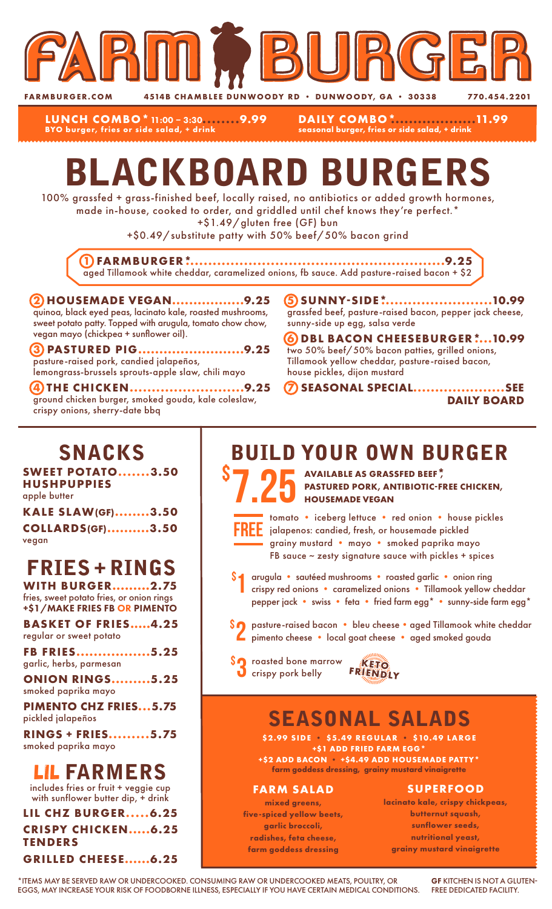

**FARMBURGER.COM 4514B CHAMBLEE DUNWOODY RD • DUNWOODY, GA • 30338 770.454.2201** 

**LUNCH COMBO\***11:00 – 3:30**........9.99 BYO burger, fries or side salad, + drink**

**DAILY COMBO\*...................11.99 seasonal burger, fries or side salad, + drink**

# BLACKBOARD BURGERS

100% grassfed + grass-finished beef, locally raised, no antibiotics or added growth hormones, made in-house, cooked to order, and griddled until chef knows they're perfect.\*

+\$1.49/gluten free (GF) bun

+\$0.49/substitute patty with 50% beef/50% bacon grind

**1 FARMBURGER\*..........................................................9.25** aged Tillamook white cheddar, caramelized onions, fb sauce. Add pasture-raised bacon + \$2

#### **2 HOUSEMADE VEGAN.................9.25** quinoa, black eyed peas, lacinato kale, roasted mushrooms, sweet potato patty. Topped with arugula, tomato chow chow, vegan mayo (chickpea + sunflower oil).

**3 PASTURED PIG.........................9.25** pasture-raised pork, candied jalapeños, lemongrass-brussels sprouts-apple slaw, chili mayo

**4 THE CHICKEN..........................9.25** ground chicken burger, smoked gouda, kale coleslaw, crispy onions, sherry-date bbq

**5 SUNNY-SIDE\*.........................10.99** grassfed beef, pasture-raised bacon, pepper jack cheese, sunny-side up egg, salsa verde

**6 DBL BACON CHEESEBURGER\*....10.99** two 50% beef/50% bacon patties, grilled onions, Tillamook yellow cheddar, pasture-raised bacon, house pickles, dijon mustard

**7 SEASONAL SPECIAL.....................SEE DAILY BOARD**

### SNACKS

**SWEET POTATO.......3.50 HUSHPUPPIES** apple butter

| <b>KALE SLAW(GF)3.50</b> |  |
|--------------------------|--|
| <b>COLLARDS(GF)3.50</b>  |  |
| vegan                    |  |

## FRIES + RINGS

**WITH BURGER.........2.75** fries, sweet potato fries, or onion rings +\$1/MAKE FRIES FB OR PIMENTO

**BASKET OF FRIES.....4.25** regular or sweet potato

**FB FRIES.................5.25** garlic, herbs, parmesan

**ONION RINGS.........5.25** smoked paprika mayo

**PIMENTO CHZ FRIES...5.75** pickled jalapeños

**RINGS + FRIES.........5.75** smoked paprika mayo

### LIL FARMERS

includes fries or fruit + veggie cup with sunflower butter dip, + drink

**LIL CHZ BURGER.....6.25 CRISPY CHICKEN.....6.25 TENDERS GRILLED CHEESE......6.25**

### BUILD YOUR OWN BURGER

S 7.25 AVAILABLE AS GRASSFED BEEF<sup>\*</sup>, PASTURED PORK, ANTIBIOTIC-FI **PASTURED PORK, ANTIBIOTIC-FREE CHICKEN, HOUSEMADE VEGAN**



\$

tomato • iceberg lettuce • red onion • house pickles jalapenos: candied, fresh, or housemade pickled grainy mustard • mayo • smoked paprika mayo FB sauce  $\sim$  zesty signature sauce with pickles + spices

arugula • sautéed mushrooms • roasted garlic • onion ring crispy red onions • caramelized onions • Tillamook yellow cheddar pepper jack • swiss • feta • fried farm egg\* • sunny-side farm egg\* 1

- \$2 pasture-raised bacon bleu cheese aged Tillamook white cheddar<br>Pimento cheese local goat cheese aged smoked gouda pimento cheese • local goat cheese • aged smoked gouda
- **SO** roasted bone marrow **KETO**<br> **O** crispy pork belly FRIENDLY



## SEASONAL SALADS

**\$2.99 SIDE • \$5.49 REGULAR • \$10.49 LARGE +\$1 ADD FRIED FARM EGG\* +\$2 ADD BACON • +\$4.49 ADD HOUSEMADE PATTY\***

**farm goddess dressing, grainy mustard vinaigrette**

#### **FARM SALAD**

**mixed greens, five-spiced yellow beets, garlic broccoli, radishes, feta cheese, farm goddess dressing**

#### **SUPERFOOD**

**lacinato kale, crispy chickpeas, butternut squash, sunflower seeds, nutritional yeast, grainy mustard vinaigrette**

\*ITEMS MAY BE SERVED RAW OR UNDERCOOKED. CONSUMING RAW OR UNDERCOOKED MEATS, POULTRY, OR EGGS, MAY INCREASE YOUR RISK OF FOODBORNE ILLNESS, ESPECIALLY IF YOU HAVE CERTAIN MEDICAL CONDITIONS.

GF KITCHEN IS NOT A GLUTEN-FREE DEDICATED FACILITY.